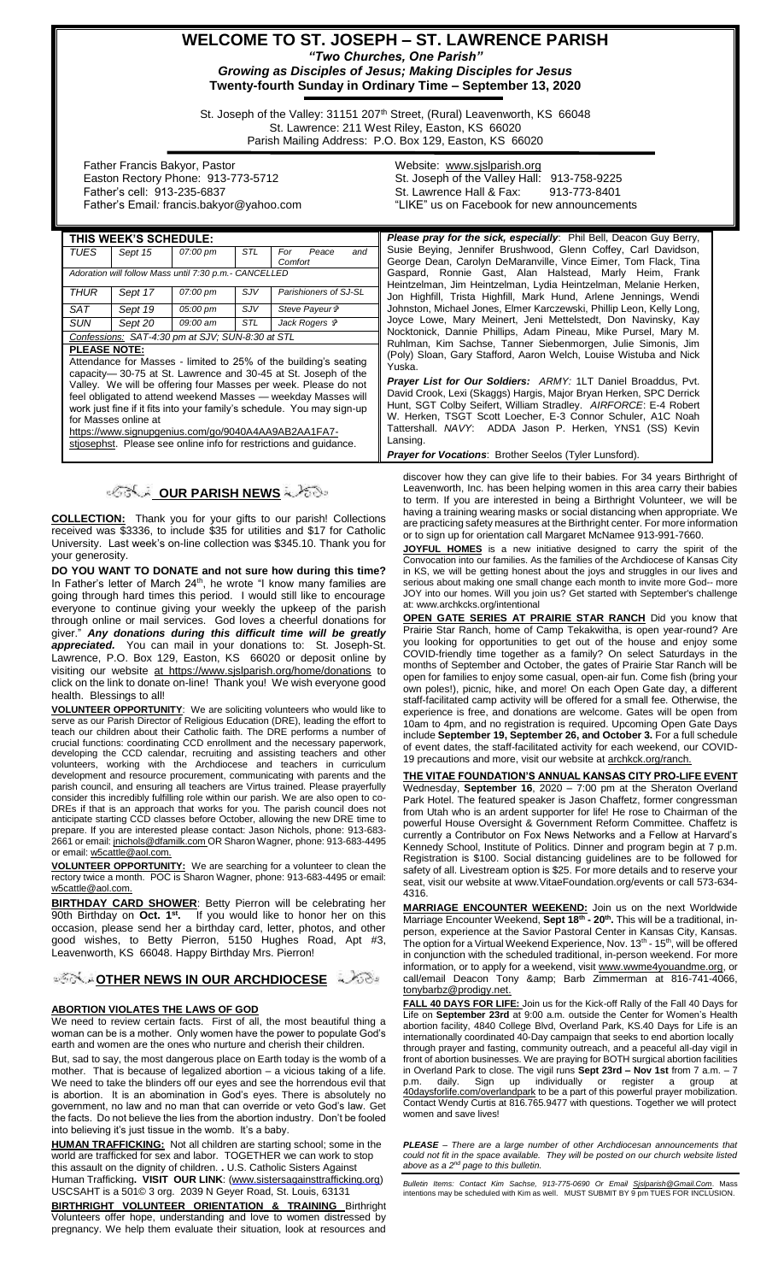## **WELCOME TO ST. JOSEPH – ST. LAWRENCE PARISH** *"Two Churches, One Parish" Growing as Disciples of Jesus; Making Disciples for Jesus*

**Twenty-fourth Sunday in Ordinary Time – September 13, 2020**

St. Joseph of the Valley: 31151 207<sup>th</sup> Street, (Rural) Leavenworth, KS 66048 St. Lawrence: 211 West Riley, Easton, KS 66020 Parish Mailing Address: P.O. Box 129, Easton, KS 66020

 Father Francis Bakyor, Pastor Easton Rectory Phone: 913-773-5712 Father's cell: 913-235-6837 Father's Email*:* francis.bakyor@yahoo.com Website: [www.sjslparish.org](http://www.sjslparish.org/) St. Joseph of the Valley Hall: 913-758-9225<br>St. Lawrence Hall & Fax: 913-773-8401 St. Lawrence Hall & Fax: "LIKE" us on Facebook for new announcements

**THIS WEEK'S SCHEDULE:** *Please pray for the sick, especially*: Phil Bell, Deacon Guy Berry, Susie Beying, Jennifer Brushwood, Glenn Coffey, Carl Davidson, George Dean, Carolyn DeMaranville, Vince Eimer, Tom Flack, Tina Gaspard, Ronnie Gast, Alan Halstead, Marly Heim, Frank Heintzelman, Jim Heintzelman, Lydia Heintzelman, Melanie Herken, Jon Highfill, Trista Highfill, Mark Hund, Arlene Jennings, Wendi Johnston, Michael Jones, Elmer Karczewski, Phillip Leon, Kelly Long, Joyce Lowe, Mary Meinert, Jeni Mettelstedt, Don Navinsky, Kay Nocktonick, Dannie Phillips, Adam Pineau, Mike Pursel, Mary M. Ruhlman, Kim Sachse, Tanner Siebenmorgen, Julie Simonis, Jim (Poly) Sloan, Gary Stafford, Aaron Welch, Louise Wistuba and Nick Yuska. *Prayer List for Our Soldiers: ARMY:* 1LT Daniel Broaddus, Pvt. David Crook, Lexi (Skaggs) Hargis, Major Bryan Herken, SPC Derrick Hunt, SGT Colby Seifert, William Stradley. *AIRFORCE*: E-4 Robert W. Herken, TSGT Scott Loecher, E-3 Connor Schuler, A1C Noah Tattershall. *NAVY*: ADDA Jason P. Herken, YNS1 (SS) Kevin Lansing. *TUES Sept 15 07:00 pm STL For Peace and Comfort Adoration will follow Mass until 7:30 p.m.- CANCELLED THUR Sept 17 07:00 pm SJV Parishioners of SJ-SL SAT Sept 19 05:00 pm SJV Steve Payeur SUN Sept 20 09:00 am STL Jack Rogers Confessions: SAT-4:30 pm at SJV; SUN-8:30 at STL* **PLEASE NOTE:** Attendance for Masses - limited to 25% of the building's seating capacity— 30-75 at St. Lawrence and 30-45 at St. Joseph of the Valley. We will be offering four Masses per week. Please do not feel obligated to attend weekend Masses — weekday Masses will work just fine if it fits into your family's schedule. You may sign-up for Masses online at https://www.signupgenius.com/go/9040A4AA9AB2AA1FA7 stjosephst. Please see online info for restrictions and guidance.

# **OUR PARISH NEWS**

**COLLECTION:** Thank you for your gifts to our parish! Collections received was \$3336, to include \$35 for utilities and \$17 for Catholic University. Last week's on-line collection was \$345.10. Thank you for your generosity.

**DO YOU WANT TO DONATE and not sure how during this time?** In Father's letter of March 24<sup>th</sup>, he wrote "I know many families are going through hard times this period. I would still like to encourage everyone to continue giving your weekly the upkeep of the parish through online or mail services. God loves a cheerful donations for giver." *Any donations during this difficult time will be greatly appreciated.* You can mail in your donations to: St. Joseph-St. Lawrence, P.O. Box 129, Easton, KS 66020 or deposit online by visiting our website at https://www.sjslparish.org/home/donations to click on the link to donate on-line! Thank you! We wish everyone good health.Blessings to all!

**VOLUNTEER OPPORTUNITY**: We are soliciting volunteers who would like to serve as our Parish Director of Religious Education (DRE), leading the effort to teach our children about their Catholic faith. The DRE performs a number of crucial functions: coordinating CCD enrollment and the necessary paperwork, developing the CCD calendar, recruiting and assisting teachers and other volunteers, working with the Archdiocese and teachers in curriculum development and resource procurement, communicating with parents and the parish council, and ensuring all teachers are Virtus trained. Please prayerfully consider this incredibly fulfilling role within our parish. We are also open to co-DREs if that is an approach that works for you. The parish council does not anticipate starting CCD classes before October, allowing the new DRE time to prepare. If you are interested please contact: Jason Nichols, phone: 913-683- 2661 or email[: jnichols@dfamilk.com](mailto:jnichols@dfamilk.com) OR Sharon Wagner, phone: 913-683-4495 or email[: w5cattle@aol.com.](mailto:w5cattle@aol.com)

**VOLUNTEER OPPORTUNITY:** We are searching for a volunteer to clean the rectory twice a month. POC is Sharon Wagner, phone: 913-683-4495 or email: [w5cattle@aol.com.](mailto:w5cattle@aol.com)

**BIRTHDAY CARD SHOWER:** Betty Pierron will be celebrating her 90th Birthday on **Oct. 1st .** If you would like to honor her on this occasion, please send her a birthday card, letter, photos, and other good wishes, to Betty Pierron, 5150 Hughes Road, Apt #3, Leavenworth, KS 66048. Happy Birthday Mrs. Pierron!

### **[O](http://www.google.com/url?sa=i&rct=j&q=&esrc=s&source=images&cd=&cad=rja&uact=8&ved=0CAcQjRxqFQoTCL3M6dfYlskCFQfIYwodK-sMqA&url=http://www.clipartpanda.com/categories/corner-scroll-design&psig=AFQjCNEcNGu-GRs-N_tcfj31hDOCKS7EqQ&ust=1447823402338642)PPORT ARCHIPIOCESE**

### **ABORTION VIOLATES THE LAWS OF GOD**

We need to review certain facts. First of all, the most beautiful thing a woman can be is a mother. Only women have the power to populate God's earth and women are the ones who nurture and cherish their children.

But, sad to say, the most dangerous place on Earth today is the womb of a mother. That is because of legalized abortion – a vicious taking of a life. We need to take the blinders off our eyes and see the horrendous evil that is abortion. It is an abomination in God's eyes. There is absolutely no government, no law and no man that can override or veto God's law. Get the facts. Do not believe the lies from the abortion industry. Don't be fooled into believing it's just tissue in the womb. It's a baby.

**HUMAN TRAFFICKING:** Not all children are starting school; some in the world are trafficked for sex and labor. TOGETHER we can work to stop this assault on the dignity of children. **.** U.S. Catholic Sisters Against Human Trafficking**. VISIT OUR LINK**: [\(www.sistersagainsttrafficking.org\)](http://www.sistersagainsttrafficking.org/)  USCSAHT is a 501© 3 org. 2039 N Geyer Road, St. Louis, 63131

**BIRTHRIGHT VOLUNTEER ORIENTATION & TRAINING** Birthright Volunteers offer hope, understanding and love to women distressed by pregnancy. We help them evaluate their situation, look at resources and

*Prayer for Vocations*: Brother Seelos (Tyler Lunsford).

discover how they can give life to their babies. For 34 years Birthright of Leavenworth, Inc. has been helping women in this area carry their babies to term. If you are interested in being a Birthright Volunteer, we will be having a training wearing masks or social distancing when appropriate. We are practicing safety measures at the Birthright center. For more information or to sign up for orientation call Margaret McNamee 913-991-7660.

**JOYFUL HOMES** is a new initiative designed to carry the spirit of the Convocation into our families. As the families of the Archdiocese of Kansas City in KS, we will be getting honest about the joys and struggles in our lives and serious about making one small change each month to invite more God-- more JOY into our homes. Will you join us? Get started with September's challenge at: www.archkcks.org/intentional

**OPEN GATE SERIES AT PRAIRIE STAR RANCH** Did you know that Prairie Star Ranch, home of Camp Tekakwitha, is open year-round? Are you looking for opportunities to get out of the house and enjoy some COVID-friendly time together as a family? On select Saturdays in the months of September and October, the gates of Prairie Star Ranch will be open for families to enjoy some casual, open-air fun. Come fish (bring your own poles!), picnic, hike, and more! On each Open Gate day, a different staff-facilitated camp activity will be offered for a small fee. Otherwise, the experience is free, and donations are welcome. Gates will be open from 10am to 4pm, and no registration is required. Upcoming Open Gate Days include **September 19, September 26, and October 3.** For a full schedule of event dates, the staff-facilitated activity for each weekend, our COVID-19 precautions and more, visit our website at **archkck.org/ranch** 

**THE VITAE FOUNDATION'S ANNUAL KANSAS CITY PRO-LIFE EVENT** Wednesday, **September 16**, 2020 – 7:00 pm at the Sheraton Overland Park Hotel. The featured speaker is Jason Chaffetz, former congressman from Utah who is an ardent supporter for life! He rose to Chairman of the powerful House Oversight & Government Reform Committee. Chaffetz is currently a Contributor on Fox News Networks and a Fellow at Harvard's Kennedy School, Institute of Politics. Dinner and program begin at 7 p.m. Registration is \$100. Social distancing guidelines are to be followed for safety of all. Livestream option is \$25. For more details and to reserve your seat, visit our website at www.VitaeFoundation.org/events or call 573-634- 4316.

**MARRIAGE ENCOUNTER WEEKEND:** Join us on the next Worldwide Marriage Encounter Weekend, **Sept 18th - 20th .** This will be a traditional, inperson, experience at the Savior Pastoral Center in Kansas City, Kansas. The option for a Virtual Weekend Experience, Nov. 13<sup>th</sup> - 15<sup>th</sup>, will be offered in conjunction with the scheduled traditional, in-person weekend. For more information, or to apply for a weekend, visit www.wwme4youandme.org, or call/email Deacon Tony & amp; Barb Zimmerman at 816-741-4066, [tonybarbz@prodigy.net.](mailto:tonybarbz@prodigy.net)

**FALL 40 DAYS FOR LIFE:** Join us for the Kick-off Rally of the Fall 40 Days for Life on **September 23rd** at 9:00 a.m. outside the Center for Women's Health abortion facility, 4840 College Blvd, Overland Park, KS.40 Days for Life is an internationally coordinated 40-Day campaign that seeks to end abortion locally through prayer and fasting, community outreach, and a peaceful all-day vigil in front of abortion businesses. We are praying for BOTH surgical abortion facilities in Overland Park to close. The vigil runs **Sept 23rd – Nov 1st** from 7 a.m. – 7 p.m. daily. Sign up individually or register a group at 40daysforlife.com/overlandpark to be a part of this powerful prayer mobilization. Contact Wendy Curtis at 816.765.9477 with questions. Together we will protect women and save lives!

*PLEASE – There are a large number of other Archdiocesan announcements that*  could not fit in the space available. They will be posted on our church website listed *above as a 2nd page to this bulletin.*

*Bulletin Items: Contact Kim Sachse, 913-775-0690 Or Email <u>Sislparish@Gmail.Com</u>. Mass<br>intentions may be scheduled with Kim as well. MUST SUBMIT BY 9 pm TUES FOR INCLUSION.*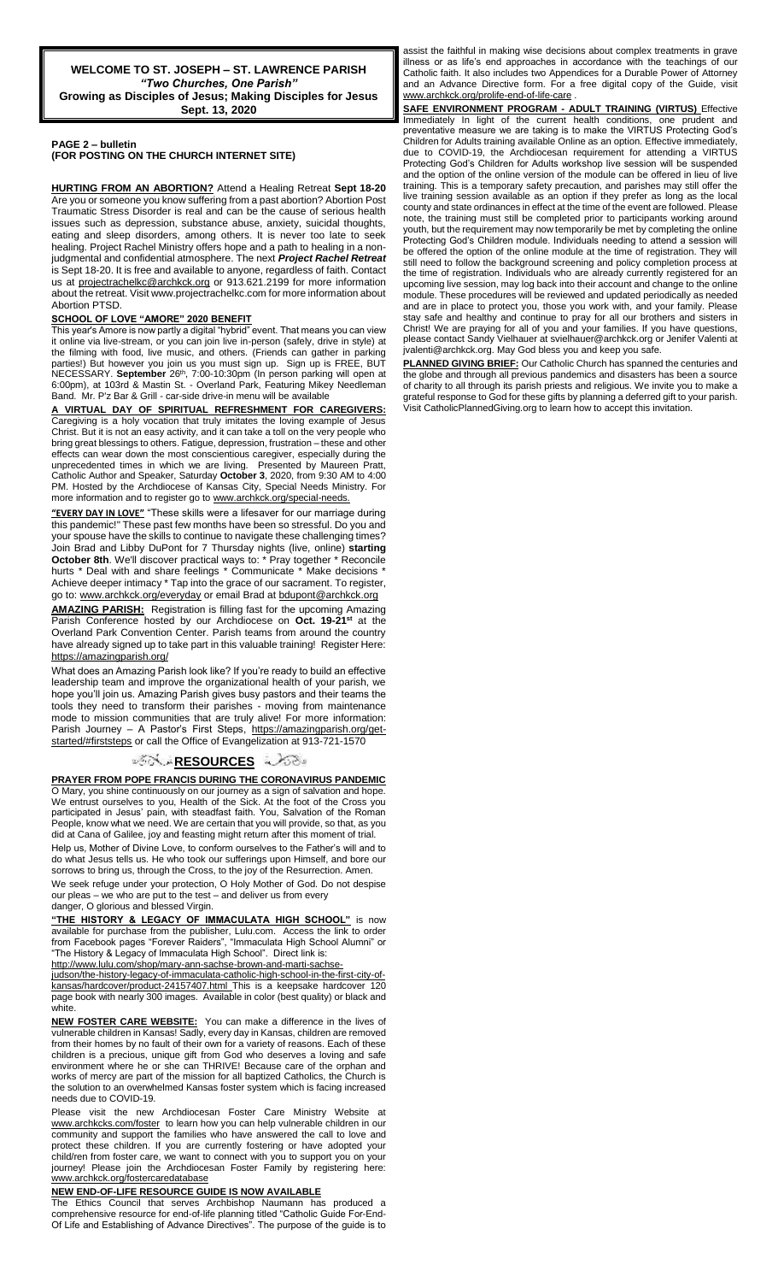**PAGE 2 – bulletin** 

**(FOR POSTING ON THE CHURCH INTERNET SITE)**

**HURTING FROM AN ABORTION?** Attend a Healing Retreat **Sept 18-20** Are you or someone you know suffering from a past abortion? Abortion Post Traumatic Stress Disorder is real and can be the cause of serious health issues such as depression, substance abuse, anxiety, suicidal thoughts, eating and sleep disorders, among others. It is never too late to seek healing. Project Rachel Ministry offers hope and a path to healing in a nonjudgmental and confidential atmosphere. The next *Project Rachel Retreat* is Sept 18-20. It is free and available to anyone, regardless of faith. Contact us at projectrachelkc@archkck.org or 913.621.2199 for more information about the retreat. Visit www.projectrachelkc.com for more information about Abortion PTSD.

#### **SCHOOL OF LOVE "AMORE" 2020 BENEFIT**

This year's Amore is now partly a digital "hybrid" event. That means you can view it online via live-stream, or you can join live in-person (safely, drive in style) at the filming with food, live music, and others. (Friends can gather in parking parties!) But however you join us you must sign up. Sign up is FREE, BUT NECESSARY. September 26<sup>th</sup>, 7:00-10:30pm (In person parking will open at 6:00pm), at 103rd & Mastin St. - Overland Park, Featuring Mikey Needleman Band. Mr. P'z Bar & Grill - car-side drive-in menu will be available

**VIRTUAL DAY OF SPIRITUAL REFRESHMENT FOR CAREGIVERS:** Caregiving is a holy vocation that truly imitates the loving example of Jesus Christ. But it is not an easy activity, and it can take a toll on the very people who bring great blessings to others. Fatigue, depression, frustration – these and other effects can wear down the most conscientious caregiver, especially during the unprecedented times in which we are living. Presented by Maureen Pratt, Catholic Author and Speaker, Saturday **October 3**, 2020, from 9:30 AM to 4:00 PM. Hosted by the Archdiocese of Kansas City, Special Needs Ministry. For more information and to register go to www.archkck.org/special-needs.

**"EVERY DAY IN LOVE"** "These skills were a lifesaver for our marriage during this pandemic!" These past few months have been so stressful. Do you and your spouse have the skills to continue to navigate these challenging times? Join Brad and Libby DuPont for 7 Thursday nights (live, online) **starting October 8th.** We'll discover practical ways to: \* Pray together \* Reconcile hurts \* Deal with and share feelings \* Communicate \* Make decisions \* Achieve deeper intimacy \* Tap into the grace of our sacrament. To register, go to: www.archkck.org/everyday or email Brad a[t bdupont@archkck.org](mailto:bdupont@archkck.org)

**AMAZING PARISH:** Registration is filling fast for the upcoming Amazing Parish Conference hosted by our Archdiocese on **Oct. 19-21st** at the Overland Park Convention Center. Parish teams from around the country have already signed up to take part in this valuable training! Register Here: <https://amazingparish.org/>

What does an Amazing Parish look like? If you're ready to build an effective leadership team and improve the organizational health of your parish, we hope you'll join us. Amazing Parish gives busy pastors and their teams the tools they need to transform their parishes - moving from maintenance mode to mission communities that are truly alive! For more information: Parish Journey - A Pastor's First Steps, [https://amazingparish.org/get](https://amazingparish.org/get-started/#firststeps)[started/#firststeps](https://amazingparish.org/get-started/#firststeps) or call the Office of Evangelization at 913-721-1570

## ಿನ**್ಲಿ <u>RESOURCES</u> ವಿ**ನಿನೀ

**PRAYER FROM POPE FRANCIS DURING THE CORONAVIRUS PANDEMIC** O Mary, you shine continuously on our journey as a sign of salvation and hope. We entrust ourselves to you, Health of the Sick. At the foot of the Cross you participated in Jesus' pain, with steadfast faith. You, Salvation of the Roman People, know what we need. We are certain that you will provide, so that, as you did at Cana of Galilee, joy and feasting might return after this moment of trial.

Help us, Mother of Divine Love, to conform ourselves to the Father's will and to do what Jesus tells us. He who took our sufferings upon Himself, and bore our sorrows to bring us, through the Cross, to the joy of the Resurrection. Amen.

We seek refuge under your protection, O Holy Mother of God. Do not despise our pleas – we who are put to the test – and deliver us from every danger, O glorious and blessed Virgin.

**"THE HISTORY & LEGACY OF IMMACULATA HIGH SCHOOL"** is now available for purchase from the publisher, Lulu.com. Access the link to order from Facebook pages "Forever Raiders", "Immaculata High School Alumni" or "The History & Legacy of Immaculata High School". Direct link is:

[http://www.lulu.com/shop/mary-ann-sachse-brown-and-marti-sachse-](http://www.lulu.com/shop/mary-ann-sachse-brown-and-marti-sachse-judson/the-history-legacy-of-immaculata-catholic-high-school-in-the-first-city-of-kansas/hardcover/product-24157407.html)

[judson/the-history-legacy-of-immaculata-catholic-high-school-in-the-first-city-of](http://www.lulu.com/shop/mary-ann-sachse-brown-and-marti-sachse-judson/the-history-legacy-of-immaculata-catholic-high-school-in-the-first-city-of-kansas/hardcover/product-24157407.html)[kansas/hardcover/product-24157407.html](http://www.lulu.com/shop/mary-ann-sachse-brown-and-marti-sachse-judson/the-history-legacy-of-immaculata-catholic-high-school-in-the-first-city-of-kansas/hardcover/product-24157407.html) This is a keepsake hardcover page book with nearly 300 images. Available in color (best quality) or black and .<br>white

**NEW FOSTER CARE WEBSITE:** You can make a difference in the lives of vulnerable children in Kansas! Sadly, every day in Kansas, children are removed from their homes by no fault of their own for a variety of reasons. Each of these children is a precious, unique gift from God who deserves a loving and safe environment where he or she can THRIVE! Because care of the orphan and works of mercy are part of the mission for all baptized Catholics, the Church is the solution to an overwhelmed Kansas foster system which is facing increased needs due to COVID-19.

Please visit the new Archdiocesan Foster Care Ministry Website at [www.archkcks.com/foster](http://www.archkcks.com/foster) to learn how you can help vulnerable children in our community and support the families who have answered the call to love and protect these children. If you are currently fostering or have adopted your child/ren from foster care, we want to connect with you to support you on your journey! Please join the Archdiocesan Foster Family by registering here: .<br>[www.archkck.org/fostercaredatabase](http://www.archkck.org/fostercaredatabase)

#### **NEW END-OF-LIFE RESOURCE GUIDE IS NOW AVAILABLE**

The Ethics Council that serves Archbishop Naumann has produced a comprehensive resource for end-of-life planning titled "Catholic Guide For-End-Of Life and Establishing of Advance Directives". The purpose of the guide is to

assist the faithful in making wise decisions about complex treatments in grave illness or as life's end approaches in accordance with the teachings of our Catholic faith. It also includes two Appendices for a Durable Power of Attorney and an Advance Directive form. For a free digital copy of the Guide, visit [www.archkck.org/prolife-end-of-life-care](http://www.archkck.org/prolife-end-of-life-care) .

**SAFE ENVIRONMENT PROGRAM - ADULT TRAINING (VIRTUS)** Effective Immediately In light of the current health conditions, one prudent and preventative measure we are taking is to make the VIRTUS Protecting God's Children for Adults training available Online as an option. Effective immediately, due to COVID-19, the Archdiocesan requirement for attending a VIRTUS Protecting God's Children for Adults workshop live session will be suspended and the option of the online version of the module can be offered in lieu of live training. This is a temporary safety precaution, and parishes may still offer the live training session available as an option if they prefer as long as the local county and state ordinances in effect at the time of the event are followed. Please note, the training must still be completed prior to participants working around youth, but the requirement may now temporarily be met by completing the online Protecting God's Children module. Individuals needing to attend a session will be offered the option of the online module at the time of registration. They will still need to follow the background screening and policy completion process at the time of registration. Individuals who are already currently registered for an upcoming live session, may log back into their account and change to the online module. These procedures will be reviewed and updated periodically as needed and are in place to protect you, those you work with, and your family. Please stay safe and healthy and continue to pray for all our brothers and sisters in Christ! We are praying for all of you and your families. If you have questions, please contact Sandy Vielhauer at svielhauer@archkck.org or Jenifer Valenti at jvalenti@archkck.org. May God bless you and keep you safe.

**PLANNED GIVING BRIEF:** Our Catholic Church has spanned the centuries and the globe and through all previous pandemics and disasters has been a source of charity to all through its parish priests and religious. We invite you to make a grateful response to God for these gifts by planning a deferred gift to your parish. Visit CatholicPlannedGiving.org to learn how to accept this invitation.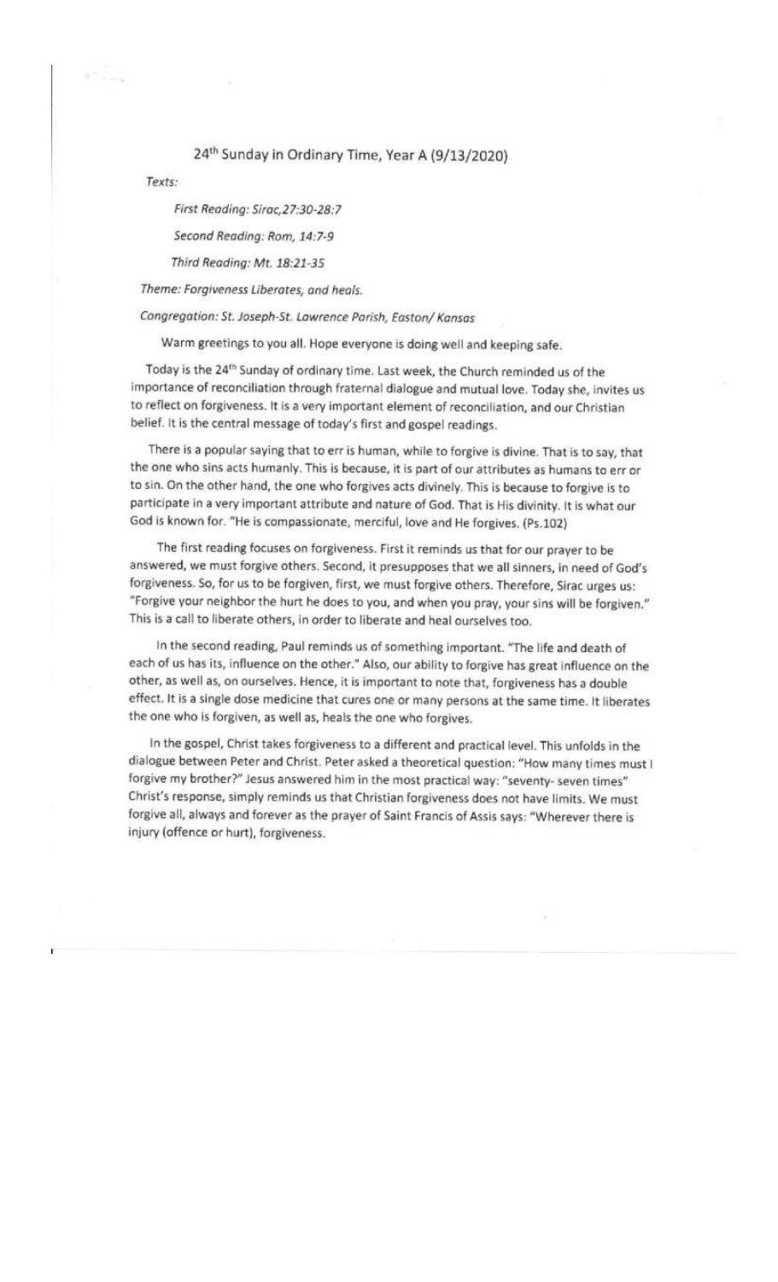# 24th Sunday in Ordinary Time, Year A (9/13/2020)

Texts:

First Reading: Sirac, 27:30-28:7

Second Reading: Rom, 14:7-9

Third Reading: Mt. 18:21-35

Theme: Forgiveness Liberates, and heals.

Congregation: St. Joseph-St. Lawrence Parish, Easton/ Kansas

Warm greetings to you all. Hope everyone is doing well and keeping safe.

Today is the 24<sup>th</sup> Sunday of ordinary time. Last week, the Church reminded us of the importance of reconciliation through fraternal dialogue and mutual love. Today she, invites us to reflect on forgiveness. It is a very important element of reconciliation, and our Christian belief. It is the central message of today's first and gospel readings.

There is a popular saying that to err is human, while to forgive is divine. That is to say, that the one who sins acts humanly. This is because, it is part of our attributes as humans to err or to sin. On the other hand, the one who forgives acts divinely. This is because to forgive is to participate in a very important attribute and nature of God. That is His divinity. It is what our God is known for. "He is compassionate, merciful, love and He forgives. (Ps.102)

The first reading focuses on forgiveness. First it reminds us that for our prayer to be answered, we must forgive others. Second, it presupposes that we all sinners, in need of God's forgiveness. So, for us to be forgiven, first, we must forgive others. Therefore, Sirac urges us: "Forgive your neighbor the hurt he does to you, and when you pray, your sins will be forgiven." This is a call to liberate others, in order to liberate and heal ourselves too.

In the second reading, Paul reminds us of something important. "The life and death of each of us has its, influence on the other." Also, our ability to forgive has great influence on the other, as well as, on ourselves. Hence, it is important to note that, forgiveness has a double effect. It is a single dose medicine that cures one or many persons at the same time. It liberates the one who is forgiven, as well as, heals the one who forgives.

In the gospel, Christ takes forgiveness to a different and practical level. This unfolds in the dialogue between Peter and Christ. Peter asked a theoretical question: "How many times must I forgive my brother?" Jesus answered him in the most practical way: "seventy- seven times" Christ's response, simply reminds us that Christian forgiveness does not have limits. We must forgive all, always and forever as the prayer of Saint Francis of Assis says: "Wherever there is injury (offence or hurt), forgiveness.